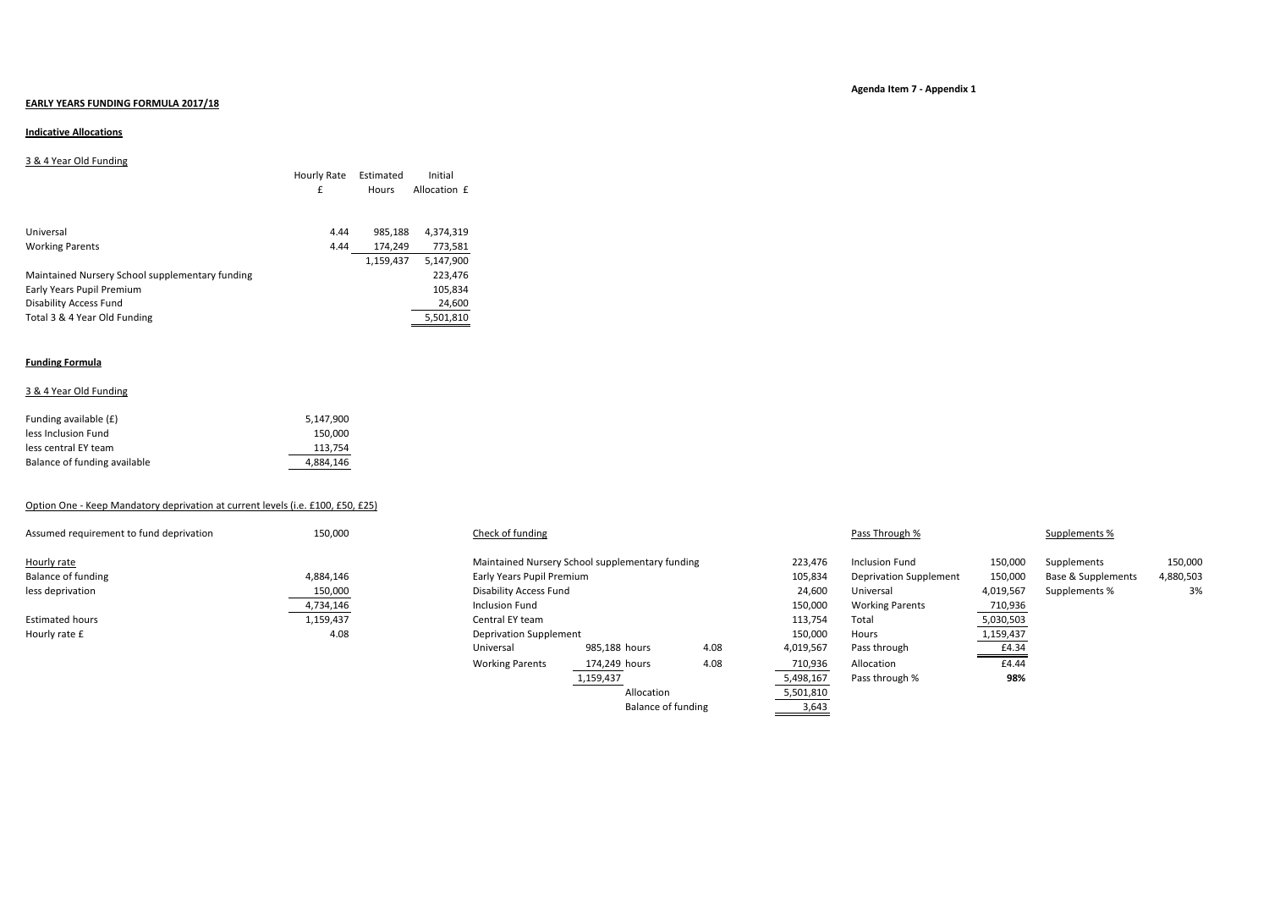### **EARLY YEARS FUNDING FORMULA 2017/18**

### **Indicative Allocations**

### 3 & 4 Year Old Funding

|                                                 | Hourly Rate       | Estimated | Initial      |  |
|-------------------------------------------------|-------------------|-----------|--------------|--|
|                                                 | £<br><b>Hours</b> |           | Allocation £ |  |
|                                                 |                   |           |              |  |
| Universal                                       | 4.44              | 985,188   | 4,374,319    |  |
| <b>Working Parents</b>                          | 4.44              | 174,249   | 773,581      |  |
|                                                 |                   | 1,159,437 | 5,147,900    |  |
| Maintained Nursery School supplementary funding |                   |           | 223,476      |  |
| Early Years Pupil Premium                       |                   |           | 105,834      |  |
| Disability Access Fund                          |                   |           | 24,600       |  |
| Total 3 & 4 Year Old Funding                    |                   |           | 5,501,810    |  |

### **Funding Formula**

# 3 & 4 Year Old Funding

| Funding available (£)        | 5.147.900 |
|------------------------------|-----------|
| less Inclusion Fund          | 150.000   |
| less central EY team         | 113.754   |
| Balance of funding available | 4.884.146 |

# Option One - Keep Mandatory deprivation at current levels (i.e. £100, £50, £25)

| Assumed requirement to fund deprivation | 150,000   |
|-----------------------------------------|-----------|
| Hourly rate                             |           |
| Balance of funding                      | 4,884,146 |
| less deprivation                        | 150,000   |
|                                         | 4,734,146 |
| <b>Estimated hours</b>                  | 1,159,437 |
| Hourly rate £                           | 4.08      |

# Assumed requirement to fund deprivation 150,000 150,000 Check of funding 150,000 Check of funding Pass Through % Pass Through % Supplements % Maintained Nursery School supplementary funding  $223,476$  Inclusion Fund  $150,000$  Supplements 150,000 Supplements 150,000 Fase & Supplements 150,000 Capplements 150,000 Fund 150,000 Base & Supplements 1,880,503 Balance of funding and the Supplements the Supplement 150,000 Base & Supplements 4,880,503 less deprivation 150,000 150,000 Disability Access Fund 24,600 Universal 4,019,567 Supplements % 3% A,473,146 Inclusion Fund 150,000 Working Parents 710,936 Estimated hours 1,159,437 Central EY team 113,754 Total 5,030,503 Hourly rate £ 1.159,437 and the matrice of the 4.08 Deprivation Supplement 150,000 Hours 1,159,437 and the 1,159,437 Universal 985,188 hours 4.08 4,019,567 Pass through  $\overline{f4.34}$ Working Parents 174,249 hours  $4.08$  710,936 Allocation  $\overline{f4.44}$ 1,159,437 5,498,167 Pass through % **98%** Allocation 5,501,810 Balance of funding 3,643

### **Agenda Item 7 - Appendix 1**